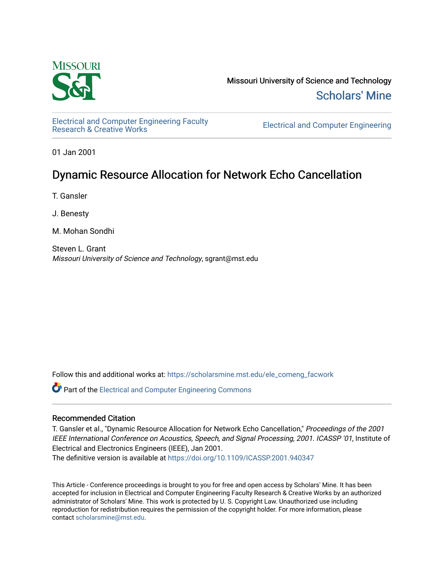

Missouri University of Science and Technology [Scholars' Mine](https://scholarsmine.mst.edu/) 

[Electrical and Computer Engineering Faculty](https://scholarsmine.mst.edu/ele_comeng_facwork)

**Electrical and Computer Engineering** 

01 Jan 2001

# Dynamic Resource Allocation for Network Echo Cancellation

T. Gansler

J. Benesty

M. Mohan Sondhi

Steven L. Grant Missouri University of Science and Technology, sgrant@mst.edu

Follow this and additional works at: [https://scholarsmine.mst.edu/ele\\_comeng\\_facwork](https://scholarsmine.mst.edu/ele_comeng_facwork?utm_source=scholarsmine.mst.edu%2Fele_comeng_facwork%2F989&utm_medium=PDF&utm_campaign=PDFCoverPages)

**C** Part of the Electrical and Computer Engineering Commons

# Recommended Citation

T. Gansler et al., "Dynamic Resource Allocation for Network Echo Cancellation," Proceedings of the 2001 IEEE International Conference on Acoustics, Speech, and Signal Processing, 2001. ICASSP '01, Institute of Electrical and Electronics Engineers (IEEE), Jan 2001.

The definitive version is available at <https://doi.org/10.1109/ICASSP.2001.940347>

This Article - Conference proceedings is brought to you for free and open access by Scholars' Mine. It has been accepted for inclusion in Electrical and Computer Engineering Faculty Research & Creative Works by an authorized administrator of Scholars' Mine. This work is protected by U. S. Copyright Law. Unauthorized use including reproduction for redistribution requires the permission of the copyright holder. For more information, please contact [scholarsmine@mst.edu](mailto:scholarsmine@mst.edu).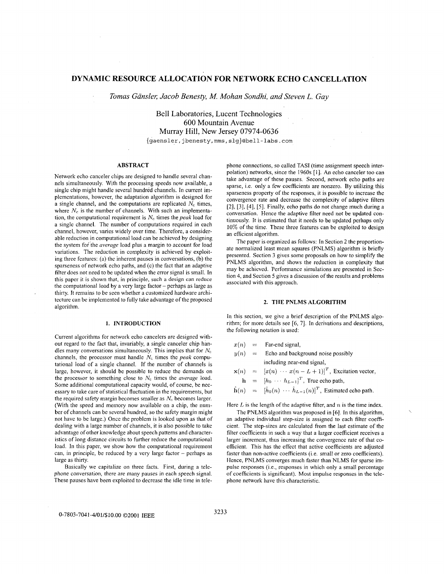## **DYNAMIC RESOURCE ALLOCATION FOR NETWORK ECHO CANCELLATION**

*Tomas Gander; Jacob Benesty, M. Mohan Sondhi, and Steven L. Gay* 

Bell Laboratories, Lucent Technologies 600 Mountain Avenue Murray Hill, New Jersey 07974-0636

[{gaensler,jbenesty,mms,slg}@bell-labs.com](mailto:gaensler,jbenesty,mms,slg}@bell-labs.com)

Network echo canceler chips are designed to handle several channels simultaneously. With the processing speeds now available, a single chip might handle several hundred channels. In current implementations, however, the adaptation algorithm is designed for a single channel, and the computations are replicated *N,* times, where  $N_c$  is the number of channels. With such an implementation, the computational requirement is  $N_c$  times the *peak* load for *a* single channel. The number of computations required in each channel, however, varies widely over time. Therefore, a considerable reduction in computational load can be achieved by designing the system for the *average* load plus a margin to account for load variations. The reduction in complexity is achieved by exploiting three features: (a) the inherent pauses in conversations, (b) the sparseness of network echo paths, and (c) the fact that an adaptive filter does not need to be updated when the error signal is small. In this papcr it is shown that, in principle, such a design can reduce the computational load by a very large factor - perhaps as large as thirty. It remains to be seen whether a customized hardware architecture can be implemented to fully take advantage of the proposed algorithm.

#### **1. INTRODUCTION**

Current algorithms for network echo cancelers are designed without regard to the fact that, invariably, a single canceler chip handles many conversations simultaneously. This implies that for *N,*  channels, the processor must handle  $N_c$  times the *peak* computational load of a single channel. If the number of channels is large, however, it should be possible to reduce the demands on the processor to something close to *N,* times the *average* load. Some additional computational capacity would, of course, be necessary to take care of statistical fluctuation in the requirements, but the required safety margin becomes smaller as  $N_c$  becomes larger. (With the speed and memory now available on a chip, the number of channels can be several hundred, so the safety margin might not have to be large.) Once the problem is looked upon as that of dealing with a large number of channels, it is also possible to take advantage of other knowledge about speech pattems and characteristics of long distance circuits to further reduce the computational load. In this paper, we show how the computational requirement can, in principle, be reduced by a very large factor  $-$  perhaps as large as thirty.

Basically we capitalize on three facts. First, during a telephone conversation, there are many pauses in each speech signal. These pauses have been exploited to decrease the idle time in tele-

**ABSTRACT phone connections, so called TASI (time assignment speech inter**polation) networks, since the 1960s'[ I]. An echo canceler *too* can take advantage of these pauses. Second, network echo paths are sparse, i.e. only a few coefficients are nonzero. By utilizing this sparseness property of the responses, it is possible to increase the convergence rate and decrease the complexity of adaptive filters *[2],* **[3],** [4], *[5].* Finally, echo paths do not change much during a conversation. Hence the adaptive filter need not be updated continuously. It is estimated that it needs to be updated perhaps only 10% of the time. These three features can be exploited to design an efficient algorithm.

> The paper is organized as follows: In Section 2 the proportionate normalized least mean squares (PNLMS) algorithm is briefly presented. Section 3 gives some proposals on how to simplify the PNLMS algorithm, and shows the reduction in complexity that may be achieved. Performance simulations are presented in Section 4, and Section 5 gives a discussion of the results and problems associated with this approach.

#### **2. THE PNLMS ALGORITHM**

In this section, we give a brief description of the PNLMS algorithm; for more details see [6, **71.** In derivations and descriptions, the following notation is used:

- $x(n)$  = Far-end signal,
- $y(n)$  = Echo and background noise possibly including near-end signal,
- $\mathbf{x}(n) = [x(n) \cdots x(n-L+1)]^T$ , Excitation vector,  $h = [h_0 \cdots h_{L-1}]^T$ , True echo path,
- $\hat{\mathbf{h}}(n) = [\hat{h}_0(n) \cdots \hat{h}_{L-1}(n)]^T$ , Estimated echo path.

Here  $L$  is the length of the adaptive filter, and  $n$  is the time index.

The PNLMS algorithm was proposed in *[6].* In this algorithm, an adaptive individual step-size is assigned to each filter coefficient. The step-sizes are calculated from the last estimate of the filter coefficients in such a way that a larger coefficient receives a larger increment, thus increasing the convergence rate of that coefficient. This has the effect that active coefficients are adjusted faster than non-active coefficients (i.e. small or zero coefficients). Hence, PNLMS converges much faster than NLMS for sparse impulse responses (i.e., responses in which only a small percentage of coefficients is significant). Most impulse responses in the telephone network have this characteristic.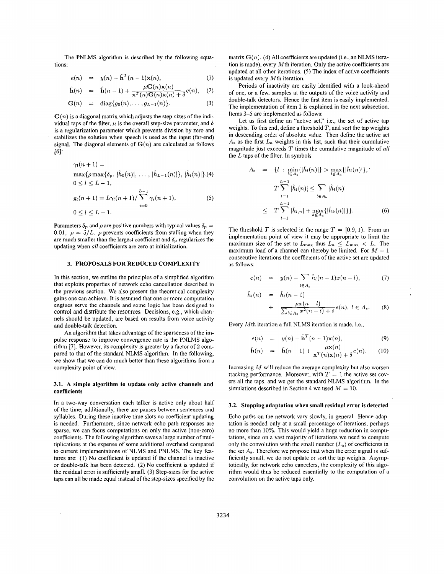The PNLMS algorithm is described by the following equations:

$$
e(n) = y(n) - \hat{\mathbf{h}}^T(n-1)\mathbf{x}(n), \qquad (1)
$$

$$
\hat{\mathbf{h}}(n) = \hat{\mathbf{h}}(n-1) + \frac{\mu \mathbf{G}(n) \mathbf{x}(n)}{\mathbf{x}^T(n) \mathbf{G}(n) \mathbf{x}(n) + \delta} e(n), \quad (2)
$$

$$
\mathbf{G}(n) = \text{diag}\{g_0(n), \ldots, g_{L-1}(n)\}.
$$
 (3)

 $G(n)$  is a diagonal matrix which adjusts the step-sizes of the individual taps of the filter,  $\mu$  is the overall step-size parameter, and  $\delta$ is a regularization parameter which prevents division by zero and stabilizes the solution when speech is used as the input (far-end) signal. The diagonal elements of  $G(n)$  are calculated as follows [61:

$$
\gamma_l(n+1) =
$$
  
\n
$$
\max\{\rho \max\{\delta_p, |\hat{h}_0(n)|, \dots, |\hat{h}_{L-1}(n)|\}, |\hat{h}_l(n)|\},(4)
$$
  
\n
$$
0 \le l \le L - 1,
$$
  
\n
$$
g_l(n+1) = L\gamma_l(n+1)/\sum_{i=0}^{L-1} \gamma_i(n+1),
$$
  
\n
$$
0 \le l \le L - 1.
$$

Parameters  $\delta_p$  and  $\rho$  are positive numbers with typical values  $\delta_p =$ 0.01,  $\rho = 5/L$ .  $\rho$  prevents coefficients from stalling when they are much smaller than the largest coefficient and  $\delta_{\rm p}$  regularizes the updating when *all* coefficients are zero at initialization.

#### **3. PROPOSALS FOR REDUCED COMPLEXITY**

In this section, we outline the principles of a simplified algorithm that exploits properties of network echo cancellation described in the previous section. We also present the theoretical complexity gains one can achieve. It is assumed that one or more computation engines serve the channels and some logic has been designed to control and distribute the resources. Decisions, e.g., which channels should be updated, are based on results from voice activity and double-talk detection.

An algorithm that takes advantage of the sparseness of the impulse response to improve convergence rate is the PNLMS algorithm *[7].* However, its complexity is greater by a factor of 2 compared to that of the standard NLMS algorithm. In the following, we show that we can do much better than these algorithms from a complexity point of view.

#### **3.1. A simple algorithm to update only active channels and coefficients**

In a two-way conversation each talker is active only about half of the time; additionally, there are pauses between sentences and syllables. During these inactive time slots no coefficient updating is needed. Furthermore, since network echo path responses are sparse, we can focus computations on only the active (non-zero) coefficients. The following algorithm saves a large number of multiplications at the expense of some additional overhead compared to current implementations of NLMS and PNLMS. The key features are: (1) No coefficient is updated if the channel is inactive or double-talk has been detected. (2) No coefficient is updated if the residual error is sufficiently small. **(3)** Step-sizes for the active taps can all be made equal instead **of** the step-sizes specified by the matrix  $G(n)$ . (4) All coefficients are updated (i.e., an NLMS iteration is made), every Mth iteration. Only the active coefficients are updated at all other iterations. *(5)* The index of active coefficients is updated every  $M$ th iteration.

Periods of inactivity are easily identified with a look-ahead of one, or a few, samples at the outputs of the voice activity and double-talk detectors. Hence the first item is easily implemented. The implementation of item 2 is explained in the next subsection. Items 3-5 are implemented as follows:

Let us first define an "active set," i.e., the set of active tap weights. To this end, define a threshold *T,* and sort the tap weights in descending order of absolute value. Then define the active set *A,* as the first **La** weights in this list, such that their cumulative magnitude just exceeds *T* times the cumulative magnitude of *all*  the *L* taps of the filter. In symbols

$$
A_{s} = \{l : \min_{l \in A_{s}} \{|\hat{h}_{l}(n)|\} > \max_{l \notin A_{s}} \{|\hat{h}_{l}(n)|\},\
$$

$$
T \sum_{l=1}^{L-1} |\hat{h}_{l}(n)| \leq \sum_{l \in A_{s}} |\hat{h}_{l}(n)|
$$

$$
\leq T \sum_{l=1}^{L-1} |\hat{h}_{l,n}| + \max_{k \notin A_{s}} \{|\hat{h}_{k}(n)|\}.
$$
 (6)

The threshold *T* is selected in the range  $T = [0.9, 1)$ . From an implementation point of view it may be appropriate to limit the maximum size of the set to  $L_{\text{max}}$  thus  $L_a \leq L_{\text{max}} < L$ . The maximum load of a channel can thereby be limited. For  $M - 1$ consecutive iterations the coefficients of the active set are updated as follows:

$$
e(n) = y(n) - \sum_{l \in A_{\rm s}} \hat{h}_l(n-1)x(n-l), \qquad (7)
$$

$$
\hat{h}_l(n) = \hat{h}_l(n-1) + \frac{\mu x(n-l)}{\sum_{l \in A_s} x^2(n-l) + \delta} e(n), l \in A_s.
$$
 (8)

Every A4th iteration a full NLMS iteration is made, i.e.,

$$
e(n) = y(n) - \hat{\mathbf{h}}^T(n-1)\mathbf{x}(n), \tag{9}
$$

$$
\hat{\mathbf{h}}(n) = \hat{\mathbf{h}}(n-1) + \frac{\mu \mathbf{x}(n)}{\mathbf{x}^{T}(n)\mathbf{x}(n) + \delta} e(n). \tag{10}
$$

Increasing *M* will reduce the average complexity but also worsen tracking performance. Moreover, with  $T = 1$  the active set covers all the taps, and we get the standard NLMS algorithm. In the simulations described in Section 4 we used  $M = 10$ .

#### **3.2. Stopping adaptation when small residual error is detected**

Echo paths on the network vary slowly, in general. Hence adaptation is needed only at a small percentage of iterations, perhaps no more than 10%. This would yield a huge reduction in computations, since on a vast majority of iterations we need to compute only the convolution with the small number  $(L_a)$  of coefficients in the set  $A_s$ . Therefore we propose that when the error signal is sufficiently small, we do not update or sort the tap weights. Asymptotically, for network echo cancelers, the complexity of this algorithm would thus be reduced essentially to the computation of a convolution on the active taps only.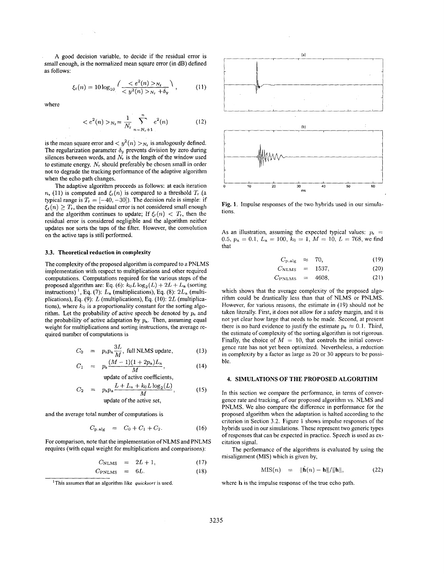**A** good decision variable, to decide if the residual error is small enough, is the normalized mean square error (in dB) defined as follows:

$$
\xi_{\rm r}(n) = 10 \log_{10} \left( \frac{\langle e^2(n) \rangle_{N_{\rm r}}}{\langle y^2(n) \rangle_{N_{\rm r}} + \delta_y} \right), \tag{11}
$$

where

$$
\langle e^2(n) \rangle_{N_r} = \frac{1}{N_r} \sum_{n - N_r + 1}^{n} e^2(n) \tag{12}
$$

is the mean square error and  $\langle y^2(n) \rangle_{N_r}$  is analogously defined. The regularization parameter  $\delta_y$  prevents division by zero during silences between words, and  $N_r$  is the length of the window used to estimate energy. *N,* should preferably be chosen small in order not to degrade the tracking performance of the adaptive algorithm when the echo path changes.

The adaptive algorithm proceeds as follows: at each iteration *n,* (11) is computed and  $\xi_{r}(n)$  is compared to a threshold  $T_{r}$  (a typical range is  $T_r = [-40, -30]$ . The decision rule is simple: if  $\xi_{r}(n) \geq T_{r}$ , then the residual error is not considered small enough and the algorithm continues to update; If  $\xi_r(n) < T_r$ , then the residual error is considered negligible and the algorithm neither updates nor sorts the taps of the filter. However, the convolution on the active taps is still performed.

#### **3.3. Theoretical reduction in complexity**

The complexity of the proposed algorithm is compared to a PNLMS implementation with respect to multiplications and other required computations. Computations required for the various steps of the proposed algorithm are: Eq. (6):  $k_0 L \log_2(L) + 2L + L_a$  (sorting instructions)<sup> $\cdot$ </sup>, Eq. (7):  $L_a$  (multiplications), Eq. (8):  $2L_a$  (multiplications), Eq. (9): *L* (multiplications), Eq. (10): 2*L* (multiplications), where  $k_0$  is a proportionality constant for the sorting algorithm. Let the probability of active speech be denoted by *p;* and the probability of active adaptation by  $p_a$ . Then, assuming equal weight for multiplications and sorting instructions, the average required number of computations is

$$
C_0 = p_s p_a \frac{3L}{M}, \text{ full NLMS update}, \qquad (13)
$$

$$
C_1 = p_s \frac{(M-1)(1+2p_a)L_a}{M}, \qquad (14)
$$

update of active coefficients,

$$
C_2 = p_s p_a \frac{L + L_a + k_0 L \log_2(L)}{M},
$$
 (15)  
update of the active set,

and the average total number of computations is

$$
C_{p,alg} = C_0 + C_1 + C_2. \tag{16}
$$

For comparison, note that the implementation of NLMS and PNLMS requires (with equal weight for multiplications and comparisons):

$$
C_{\text{NLMS}} = 2L + 1, \tag{17}
$$

$$
C_{\rm PNLMS} = 6L. \t(18)
$$



**Fig. 1.** Impulse responses of the two hybrids used in our simulations.

As an illustration, assuming the expected typical values:  $p_s$  = 0.5,  $p_a = 0.1$ ,  $L_a = 100$ ,  $k_0 = 1$ ,  $M = 10$ ,  $L = 768$ , we find that

$$
C_{\rm p,alg} \approx 70, \tag{19}
$$

$$
C_{\text{NLMS}} = 1537, \tag{20}
$$

$$
C_{\text{PNLMS}} = 4608, \tag{21}
$$

which shows that the average complexity of the proposed algorithm could be drastically less than that of NLMS or PNLMS. However, for various reasons, the estimate in (19) should not be taken literally. First, it does not allow for a safety margin, and it is not yet clear how large that needs to be made. Second, at present there is no hard evidence to justify the estimate  $p_a \approx 0.1$ . Third, the estimate of complexity of the sorting algorithm is not rigorous. Finally, the choice of  $M = 10$ , that controls the initial convergence rate has not yet been optimized. Nevertheless, a reduction in complexity by a factor as large as 20 or 30 appears to be possible.

### **4. SIMULATIONS OF THE PROPOSED ALGORITHM**

In this section we compare the performance, in terms of convergence rate and tracking, of our proposed algorithm vs. NLMS and PNLMS. We also compare the difference in performance for the proposed algorithm when the adaptation is halted according to the criterion in Section 3.2. Figure 1 shows impulse responses of the hybrids used in our simulations. These represent two generic types of responses that can be expected in practice. Speech is used as excitation signal.

The performance of the algorithms is evaluated by using the misalignment (MIS) which is given by,

$$
MIS(n) = ||\hat{\mathbf{h}}(n) - \mathbf{h}|| / ||\mathbf{h}||, \qquad (22)
$$

where h is the impulse response of the true echo path.

<sup>&#</sup>x27;This assumes that an algorithm **like** *quicksort* **is used.**